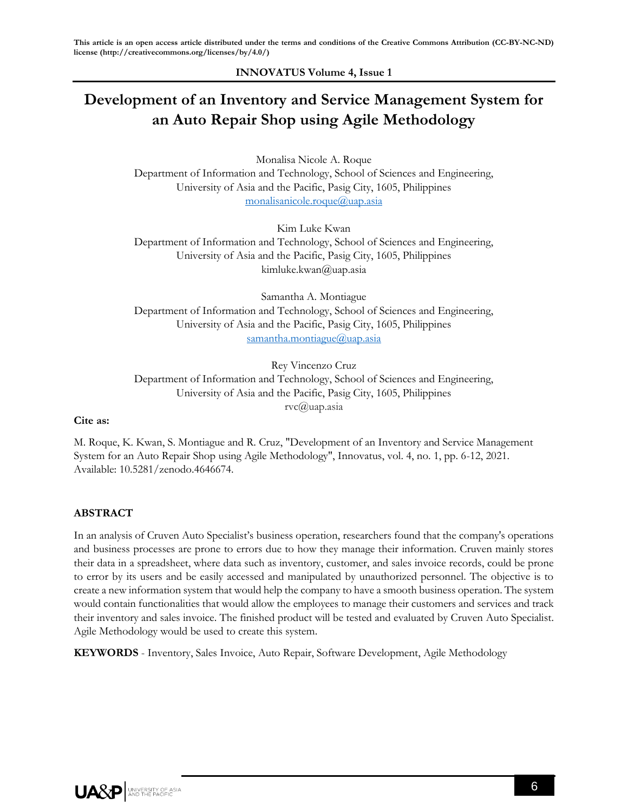**INNOVATUS Volume 4, Issue 1**

# **Development of an Inventory and Service Management System for an Auto Repair Shop using Agile Methodology**

Monalisa Nicole A. Roque Department of Information and Technology, School of Sciences and Engineering, University of Asia and the Pacific, Pasig City, 1605, Philippines [monalisanicole.roque@uap.asia](mailto:monalisanicole.roque@uap.asia)

Kim Luke Kwan Department of Information and Technology, School of Sciences and Engineering, University of Asia and the Pacific, Pasig City, 1605, Philippines kimluke.kwan@uap.asia

Samantha A. Montiague Department of Information and Technology, School of Sciences and Engineering, University of Asia and the Pacific, Pasig City, 1605, Philippines [samantha.montiague@uap.asia](mailto:samantha.montiague@uap.asia)

Rey Vincenzo Cruz Department of Information and Technology, School of Sciences and Engineering, University of Asia and the Pacific, Pasig City, 1605, Philippines rvc@uap.asia

#### **Cite as:**

M. Roque, K. Kwan, S. Montiague and R. Cruz, "Development of an Inventory and Service Management System for an Auto Repair Shop using Agile Methodology", Innovatus, vol. 4, no. 1, pp. 6-12, 2021. Available: 10.5281/zenodo.4646674.

# **ABSTRACT**

In an analysis of Cruven Auto Specialist's business operation, researchers found that the company's operations and business processes are prone to errors due to how they manage their information. Cruven mainly stores their data in a spreadsheet, where data such as inventory, customer, and sales invoice records, could be prone to error by its users and be easily accessed and manipulated by unauthorized personnel. The objective is to create a new information system that would help the company to have a smooth business operation. The system would contain functionalities that would allow the employees to manage their customers and services and track their inventory and sales invoice. The finished product will be tested and evaluated by Cruven Auto Specialist. Agile Methodology would be used to create this system.

**KEYWORDS** - Inventory, Sales Invoice, Auto Repair, Software Development, Agile Methodology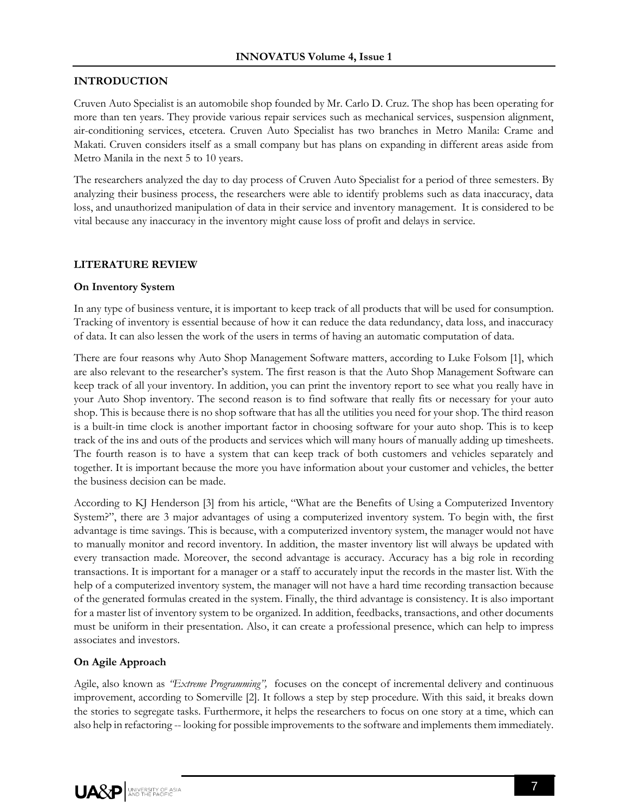#### **INTRODUCTION**

Cruven Auto Specialist is an automobile shop founded by Mr. Carlo D. Cruz. The shop has been operating for more than ten years. They provide various repair services such as mechanical services, suspension alignment, air-conditioning services, etcetera. Cruven Auto Specialist has two branches in Metro Manila: Crame and Makati. Cruven considers itself as a small company but has plans on expanding in different areas aside from Metro Manila in the next 5 to 10 years.

The researchers analyzed the day to day process of Cruven Auto Specialist for a period of three semesters. By analyzing their business process, the researchers were able to identify problems such as data inaccuracy, data loss, and unauthorized manipulation of data in their service and inventory management. It is considered to be vital because any inaccuracy in the inventory might cause loss of profit and delays in service.

#### **LITERATURE REVIEW**

#### **On Inventory System**

In any type of business venture, it is important to keep track of all products that will be used for consumption. Tracking of inventory is essential because of how it can reduce the data redundancy, data loss, and inaccuracy of data. It can also lessen the work of the users in terms of having an automatic computation of data.

There are four reasons why Auto Shop Management Software matters, according to Luke Folsom [1], which are also relevant to the researcher's system. The first reason is that the Auto Shop Management Software can keep track of all your inventory. In addition, you can print the inventory report to see what you really have in your Auto Shop inventory. The second reason is to find software that really fits or necessary for your auto shop. This is because there is no shop software that has all the utilities you need for your shop. The third reason is a built-in time clock is another important factor in choosing software for your auto shop. This is to keep track of the ins and outs of the products and services which will many hours of manually adding up timesheets. The fourth reason is to have a system that can keep track of both customers and vehicles separately and together. It is important because the more you have information about your customer and vehicles, the better the business decision can be made.

According to KJ Henderson [3] from his article, "What are the Benefits of Using a Computerized Inventory System?", there are 3 major advantages of using a computerized inventory system. To begin with, the first advantage is time savings. This is because, with a computerized inventory system, the manager would not have to manually monitor and record inventory. In addition, the master inventory list will always be updated with every transaction made. Moreover, the second advantage is accuracy. Accuracy has a big role in recording transactions. It is important for a manager or a staff to accurately input the records in the master list. With the help of a computerized inventory system, the manager will not have a hard time recording transaction because of the generated formulas created in the system. Finally, the third advantage is consistency. It is also important for a master list of inventory system to be organized. In addition, feedbacks, transactions, and other documents must be uniform in their presentation. Also, it can create a professional presence, which can help to impress associates and investors.

# **On Agile Approach**

Agile, also known as *"Extreme Programming",* focuses on the concept of incremental delivery and continuous improvement, according to Somerville [2]. It follows a step by step procedure. With this said, it breaks down the stories to segregate tasks. Furthermore, it helps the researchers to focus on one story at a time, which can also help in refactoring -- looking for possible improvements to the software and implements them immediately.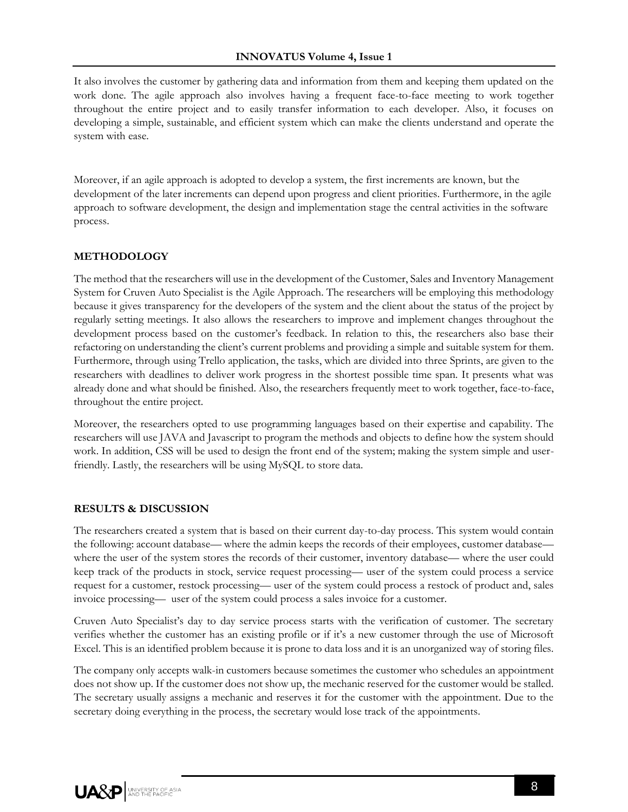It also involves the customer by gathering data and information from them and keeping them updated on the work done. The agile approach also involves having a frequent face-to-face meeting to work together throughout the entire project and to easily transfer information to each developer. Also, it focuses on developing a simple, sustainable, and efficient system which can make the clients understand and operate the system with ease.

Moreover, if an agile approach is adopted to develop a system, the first increments are known, but the development of the later increments can depend upon progress and client priorities. Furthermore, in the agile approach to software development, the design and implementation stage the central activities in the software process.

# **METHODOLOGY**

The method that the researchers will use in the development of the Customer, Sales and Inventory Management System for Cruven Auto Specialist is the Agile Approach. The researchers will be employing this methodology because it gives transparency for the developers of the system and the client about the status of the project by regularly setting meetings. It also allows the researchers to improve and implement changes throughout the development process based on the customer's feedback. In relation to this, the researchers also base their refactoring on understanding the client's current problems and providing a simple and suitable system for them. Furthermore, through using Trello application, the tasks, which are divided into three Sprints, are given to the researchers with deadlines to deliver work progress in the shortest possible time span. It presents what was already done and what should be finished. Also, the researchers frequently meet to work together, face-to-face, throughout the entire project.

Moreover, the researchers opted to use programming languages based on their expertise and capability. The researchers will use JAVA and Javascript to program the methods and objects to define how the system should work. In addition, CSS will be used to design the front end of the system; making the system simple and userfriendly. Lastly, the researchers will be using MySQL to store data.

#### **RESULTS & DISCUSSION**

The researchers created a system that is based on their current day-to-day process. This system would contain the following: account database— where the admin keeps the records of their employees, customer database where the user of the system stores the records of their customer, inventory database— where the user could keep track of the products in stock, service request processing— user of the system could process a service request for a customer, restock processing— user of the system could process a restock of product and, sales invoice processing— user of the system could process a sales invoice for a customer.

Cruven Auto Specialist's day to day service process starts with the verification of customer. The secretary verifies whether the customer has an existing profile or if it's a new customer through the use of Microsoft Excel. This is an identified problem because it is prone to data loss and it is an unorganized way of storing files.

The company only accepts walk-in customers because sometimes the customer who schedules an appointment does not show up. If the customer does not show up, the mechanic reserved for the customer would be stalled. The secretary usually assigns a mechanic and reserves it for the customer with the appointment. Due to the secretary doing everything in the process, the secretary would lose track of the appointments.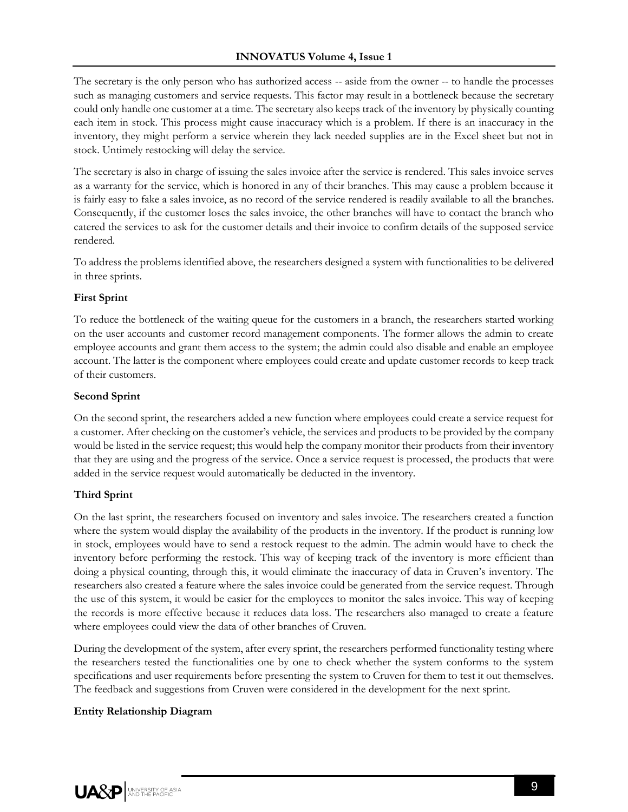The secretary is the only person who has authorized access -- aside from the owner -- to handle the processes such as managing customers and service requests. This factor may result in a bottleneck because the secretary could only handle one customer at a time. The secretary also keeps track of the inventory by physically counting each item in stock. This process might cause inaccuracy which is a problem. If there is an inaccuracy in the inventory, they might perform a service wherein they lack needed supplies are in the Excel sheet but not in stock. Untimely restocking will delay the service.

The secretary is also in charge of issuing the sales invoice after the service is rendered. This sales invoice serves as a warranty for the service, which is honored in any of their branches. This may cause a problem because it is fairly easy to fake a sales invoice, as no record of the service rendered is readily available to all the branches. Consequently, if the customer loses the sales invoice, the other branches will have to contact the branch who catered the services to ask for the customer details and their invoice to confirm details of the supposed service rendered.

To address the problems identified above, the researchers designed a system with functionalities to be delivered in three sprints.

# **First Sprint**

To reduce the bottleneck of the waiting queue for the customers in a branch, the researchers started working on the user accounts and customer record management components. The former allows the admin to create employee accounts and grant them access to the system; the admin could also disable and enable an employee account. The latter is the component where employees could create and update customer records to keep track of their customers.

#### **Second Sprint**

On the second sprint, the researchers added a new function where employees could create a service request for a customer. After checking on the customer's vehicle, the services and products to be provided by the company would be listed in the service request; this would help the company monitor their products from their inventory that they are using and the progress of the service. Once a service request is processed, the products that were added in the service request would automatically be deducted in the inventory.

# **Third Sprint**

On the last sprint, the researchers focused on inventory and sales invoice. The researchers created a function where the system would display the availability of the products in the inventory. If the product is running low in stock, employees would have to send a restock request to the admin. The admin would have to check the inventory before performing the restock. This way of keeping track of the inventory is more efficient than doing a physical counting, through this, it would eliminate the inaccuracy of data in Cruven's inventory. The researchers also created a feature where the sales invoice could be generated from the service request. Through the use of this system, it would be easier for the employees to monitor the sales invoice. This way of keeping the records is more effective because it reduces data loss. The researchers also managed to create a feature where employees could view the data of other branches of Cruven.

During the development of the system, after every sprint, the researchers performed functionality testing where the researchers tested the functionalities one by one to check whether the system conforms to the system specifications and user requirements before presenting the system to Cruven for them to test it out themselves. The feedback and suggestions from Cruven were considered in the development for the next sprint.

# **Entity Relationship Diagram**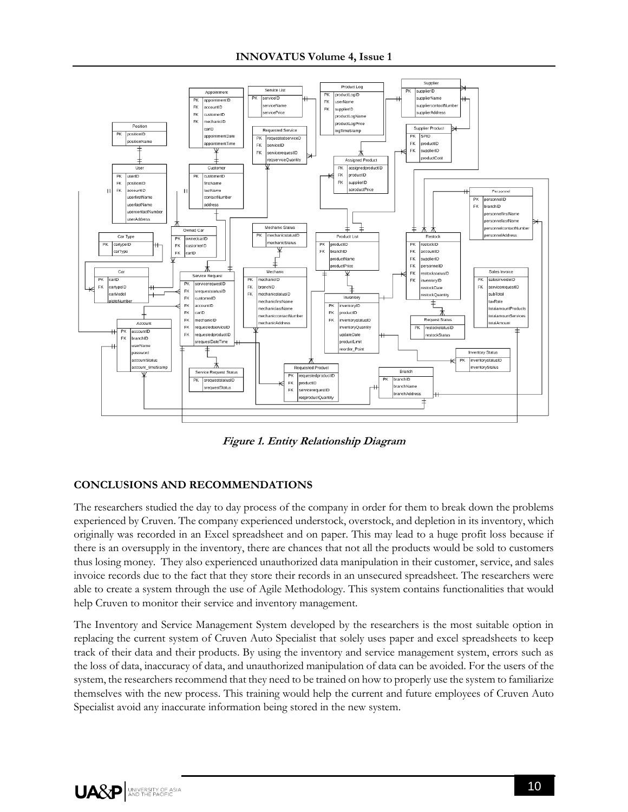

**Figure 1. Entity Relationship Diagram**

# **CONCLUSIONS AND RECOMMENDATIONS**

The researchers studied the day to day process of the company in order for them to break down the problems experienced by Cruven. The company experienced understock, overstock, and depletion in its inventory, which originally was recorded in an Excel spreadsheet and on paper. This may lead to a huge profit loss because if there is an oversupply in the inventory, there are chances that not all the products would be sold to customers thus losing money. They also experienced unauthorized data manipulation in their customer, service, and sales invoice records due to the fact that they store their records in an unsecured spreadsheet. The researchers were able to create a system through the use of Agile Methodology. This system contains functionalities that would help Cruven to monitor their service and inventory management.

The Inventory and Service Management System developed by the researchers is the most suitable option in replacing the current system of Cruven Auto Specialist that solely uses paper and excel spreadsheets to keep track of their data and their products. By using the inventory and service management system, errors such as the loss of data, inaccuracy of data, and unauthorized manipulation of data can be avoided. For the users of the system, the researchers recommend that they need to be trained on how to properly use the system to familiarize themselves with the new process. This training would help the current and future employees of Cruven Auto Specialist avoid any inaccurate information being stored in the new system.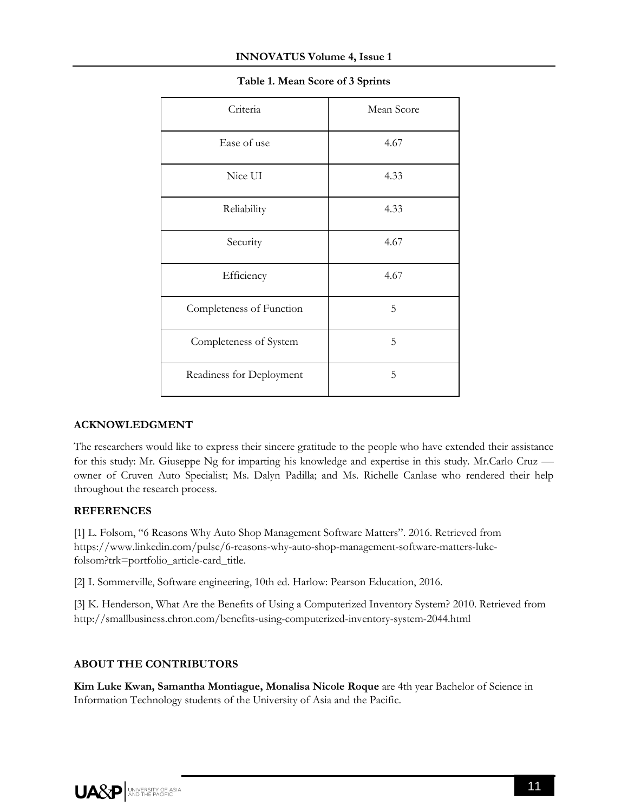| Criteria                 | Mean Score |
|--------------------------|------------|
| Ease of use              | 4.67       |
| Nice UI                  | 4.33       |
| Reliability              | 4.33       |
| Security                 | 4.67       |
| Efficiency               | 4.67       |
| Completeness of Function | 5          |
| Completeness of System   | 5          |
| Readiness for Deployment | 5          |

# **Table 1. Mean Score of 3 Sprints**

# **ACKNOWLEDGMENT**

The researchers would like to express their sincere gratitude to the people who have extended their assistance for this study: Mr. Giuseppe Ng for imparting his knowledge and expertise in this study. Mr.Carlo Cruz owner of Cruven Auto Specialist; Ms. Dalyn Padilla; and Ms. Richelle Canlase who rendered their help throughout the research process.

# **REFERENCES**

[1] L. Folsom, "6 Reasons Why Auto Shop Management Software Matters". 2016. Retrieved from https://www.linkedin.com/pulse/6-reasons-why-auto-shop-management-software-matters-lukefolsom?trk=portfolio\_article-card\_title.

[2] I. Sommerville, Software engineering, 10th ed. Harlow: Pearson Education, 2016.

[3] K. Henderson, What Are the Benefits of Using a Computerized Inventory System? 2010. Retrieved from http://smallbusiness.chron.com/benefits-using-computerized-inventory-system-2044.html

# **ABOUT THE CONTRIBUTORS**

**Kim Luke Kwan, Samantha Montiague, Monalisa Nicole Roque** are 4th year Bachelor of Science in Information Technology students of the University of Asia and the Pacific.